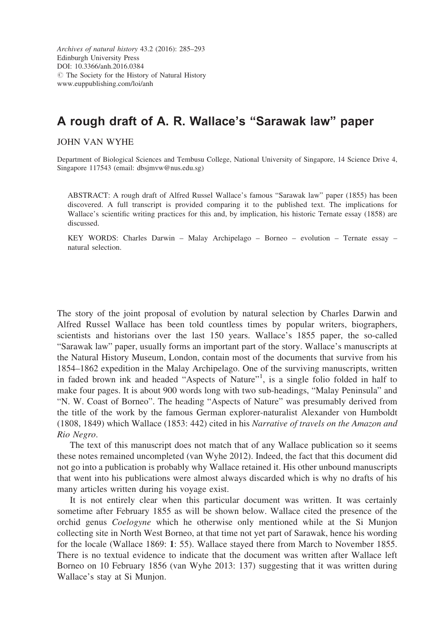Archives of natural history 43.2 (2016): 285–293 Edinburgh University Press DOI: 10.3366/anh.2016.0384  $\circledcirc$  The Society for the History of Natural History www.euppublishing.com/loi/anh

# A rough draft of A. R. Wallace's "Sarawak law" paper

JOHN VAN WYHE

Department of Biological Sciences and Tembusu College, National University of Singapore, 14 Science Drive 4, Singapore 117543 (email: dbsjmvw@nus.edu.sg)

ABSTRACT: A rough draft of Alfred Russel Wallace's famous "Sarawak law" paper (1855) has been discovered. A full transcript is provided comparing it to the published text. The implications for Wallace's scientific writing practices for this and, by implication, his historic Ternate essay (1858) are discussed.

KEY WORDS: Charles Darwin – Malay Archipelago – Borneo – evolution – Ternate essay – natural selection.

The story of the joint proposal of evolution by natural selection by Charles Darwin and Alfred Russel Wallace has been told countless times by popular writers, biographers, scientists and historians over the last 150 years. Wallace's 1855 paper, the so-called "Sarawak law" paper, usually forms an important part of the story. Wallace's manuscripts at the Natural History Museum, London, contain most of the documents that survive from his 1854–1862 expedition in the Malay Archipelago. One of the surviving manuscripts, written in faded brown ink and headed "Aspects of Nature"<sup>1</sup>, is a single folio folded in half to make four pages. It is about 900 words long with two sub-headings, "Malay Peninsula" and "N. W. Coast of Borneo". The heading "Aspects of Nature" was presumably derived from the title of the work by the famous German explorer-naturalist Alexander von Humboldt (1808, 1849) which Wallace (1853: 442) cited in his Narrative of travels on the Amazon and Rio Negro.

The text of this manuscript does not match that of any Wallace publication so it seems these notes remained uncompleted (van Wyhe 2012). Indeed, the fact that this document did not go into a publication is probably why Wallace retained it. His other unbound manuscripts that went into his publications were almost always discarded which is why no drafts of his many articles written during his voyage exist.

It is not entirely clear when this particular document was written. It was certainly sometime after February 1855 as will be shown below. Wallace cited the presence of the orchid genus Coelogyne which he otherwise only mentioned while at the Si Munjon collecting site in North West Borneo, at that time not yet part of Sarawak, hence his wording for the locale (Wallace 1869: 1: 55). Wallace stayed there from March to November 1855. There is no textual evidence to indicate that the document was written after Wallace left Borneo on 10 February 1856 (van Wyhe 2013: 137) suggesting that it was written during Wallace's stay at Si Munjon.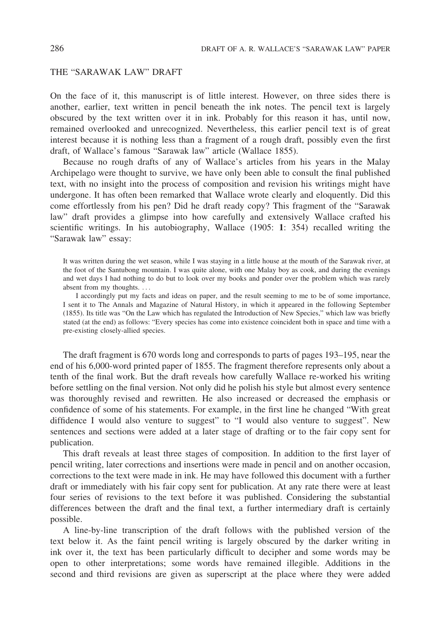# THE "SARAWAK LAW" DRAFT

On the face of it, this manuscript is of little interest. However, on three sides there is another, earlier, text written in pencil beneath the ink notes. The pencil text is largely obscured by the text written over it in ink. Probably for this reason it has, until now, remained overlooked and unrecognized. Nevertheless, this earlier pencil text is of great interest because it is nothing less than a fragment of a rough draft, possibly even the first draft, of Wallace's famous "Sarawak law" article (Wallace 1855).

Because no rough drafts of any of Wallace's articles from his years in the Malay Archipelago were thought to survive, we have only been able to consult the final published text, with no insight into the process of composition and revision his writings might have undergone. It has often been remarked that Wallace wrote clearly and eloquently. Did this come effortlessly from his pen? Did he draft ready copy? This fragment of the "Sarawak law" draft provides a glimpse into how carefully and extensively Wallace crafted his scientific writings. In his autobiography, Wallace (1905: 1: 354) recalled writing the "Sarawak law" essay:

It was written during the wet season, while I was staying in a little house at the mouth of the Sarawak river, at the foot of the Santubong mountain. I was quite alone, with one Malay boy as cook, and during the evenings and wet days I had nothing to do but to look over my books and ponder over the problem which was rarely absent from my thoughts. ...

I accordingly put my facts and ideas on paper, and the result seeming to me to be of some importance, I sent it to The Annals and Magazine of Natural History, in which it appeared in the following September (1855). Its title was "On the Law which has regulated the Introduction of New Species," which law was briefly stated (at the end) as follows: "Every species has come into existence coincident both in space and time with a pre-existing closely-allied species.

The draft fragment is 670 words long and corresponds to parts of pages 193–195, near the end of his 6,000-word printed paper of 1855. The fragment therefore represents only about a tenth of the final work. But the draft reveals how carefully Wallace re-worked his writing before settling on the final version. Not only did he polish his style but almost every sentence was thoroughly revised and rewritten. He also increased or decreased the emphasis or confidence of some of his statements. For example, in the first line he changed "With great diffidence I would also venture to suggest" to "I would also venture to suggest". New sentences and sections were added at a later stage of drafting or to the fair copy sent for publication.

This draft reveals at least three stages of composition. In addition to the first layer of pencil writing, later corrections and insertions were made in pencil and on another occasion, corrections to the text were made in ink. He may have followed this document with a further draft or immediately with his fair copy sent for publication. At any rate there were at least four series of revisions to the text before it was published. Considering the substantial differences between the draft and the final text, a further intermediary draft is certainly possible.

A line-by-line transcription of the draft follows with the published version of the text below it. As the faint pencil writing is largely obscured by the darker writing in ink over it, the text has been particularly difficult to decipher and some words may be open to other interpretations; some words have remained illegible. Additions in the second and third revisions are given as superscript at the place where they were added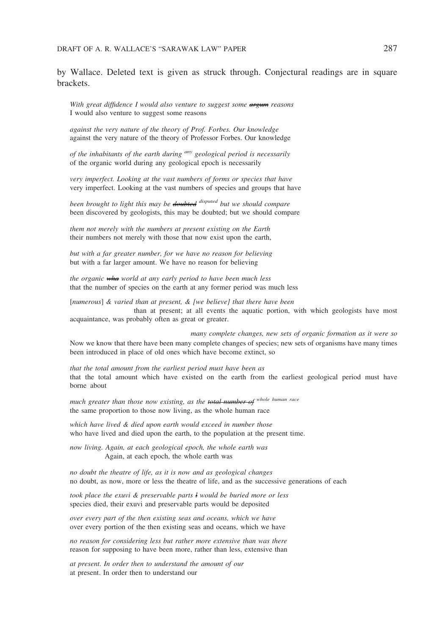by Wallace. Deleted text is given as struck through. Conjectural readings are in square brackets.

With great diffidence I would also venture to suggest some **argum** reasons I would also venture to suggest some reasons

against the very nature of the theory of Prof. Forbes. Our knowledge against the very nature of the theory of Professor Forbes. Our knowledge

of the inhabitants of the earth during <sup>any</sup> geological period is necessarily of the organic world during any geological epoch is necessarily

very imperfect. Looking at the vast numbers of forms or species that have very imperfect. Looking at the vast numbers of species and groups that have

been brought to light this may be doubted <sup>disputed</sup> but we should compare been discovered by geologists, this may be doubted; but we should compare

them not merely with the numbers at present existing on the Earth their numbers not merely with those that now exist upon the earth,

but with a far greater number, for we have no reason for believing but with a far larger amount. We have no reason for believing

the organic wha world at any early period to have been much less that the number of species on the earth at any former period was much less

[numerous] & varied than at present, & [we believe] that there have been than at present; at all events the aquatic portion, with which geologists have most acquaintance, was probably often as great or greater.

many complete changes, new sets of organic formation as it were so Now we know that there have been many complete changes of species; new sets of organisms have many times been introduced in place of old ones which have become extinct, so

that the total amount from the earliest period must have been as that the total amount which have existed on the earth from the earliest geological period must have borne about

much greater than those now existing, as the total number of whole human race the same proportion to those now living, as the whole human race

which have lived & died upon earth would exceed in number those who have lived and died upon the earth, to the population at the present time.

now living. Again, at each geological epoch, the whole earth was Again, at each epoch, the whole earth was

no doubt the theatre of life, as it is now and as geological changes no doubt, as now, more or less the theatre of life, and as the successive generations of each

took place the exuvi & preservable parts l would be buried more or less species died, their exuvi and preservable parts would be deposited

over every part of the then existing seas and oceans, which we have over every portion of the then existing seas and oceans, which we have

no reason for considering less but rather more extensive than was there reason for supposing to have been more, rather than less, extensive than

at present. In order then to understand the amount of our at present. In order then to understand our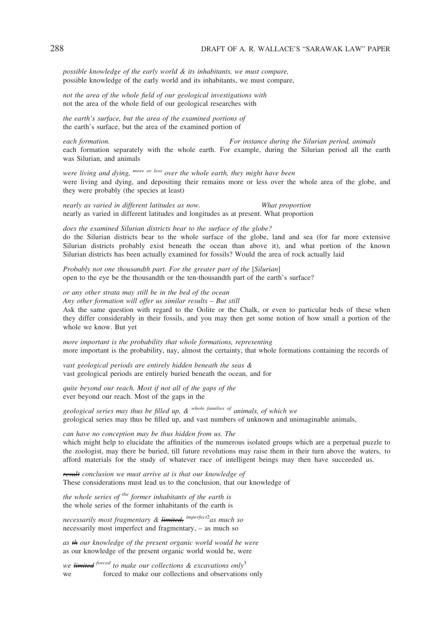possible knowledge of the early world & its inhabitants, we must compare, possible knowledge of the early world and its inhabitants, we must compare,

not the area of the whole field of our geological investigations with not the area of the whole field of our geological researches with

the earth's surface, but the area of the examined portions of the earth's surface, but the area of the examined portion of

each formation. For instance during the Silurian period, animals each formation separately with the whole earth. For example, during the Silurian period all the earth was Silurian, and animals

were living and dying,  $^{more~or~less}$  over the whole earth, they might have been were living and dying, and depositing their remains more or less over the whole area of the globe, and they were probably (the species at least)

nearly as varied in different latitudes as now. What proportion nearly as varied in different latitudes and longitudes as at present. What proportion

does the examined Silurian districts bear to the surface of the globe? do the Silurian districts bear to the whole surface of the globe, land and sea (for far more extensive Silurian districts probably exist beneath the ocean than above it), and what portion of the known Silurian districts has been actually examined for fossils? Would the area of rock actually laid

Probably not one thousandth part. For the greater part of the [Silurian] open to the eye be the thousandth or the ten-thousandth part of the earth's surface?

or any other strata may still be in the bed of the ocean Any other formation will offer us similar results – But still Ask the same question with regard to the Oolite or the Chalk, or even to particular beds of these when they differ considerably in their fossils, and you may then get some notion of how small a portion of the whole we know. But yet

more important is the probability that whole formations, representing more important is the probability, nay, almost the certainty, that whole formations containing the records of

vast geological periods are entirely hidden beneath the seas & vast geological periods are entirely buried beneath the ocean, and for

quite beyond our reach. Most if not all of the gaps of the ever beyond our reach. Most of the gaps in the

geological series may thus be filled up,  $\&$  whole families of animals, of which we geological series may thus be filled up, and vast numbers of unknown and unimaginable animals,

can have no conception may be thus hidden from us. The which might help to elucidate the affinities of the numerous isolated groups which are a perpetual puzzle to the zoologist, may there be buried, till future revolutions may raise them in their turn above the waters, to afford materials for the study of whatever race of intelligent beings may then have succeeded us.

result conclusion we must arrive at is that our knowledge of These considerations must lead us to the conclusion, that our knowledge of

the whole series of the former inhabitants of the earth is the whole series of the former inhabitants of the earth is

necessarily most fragmentary & limited, <sup>imperfect2</sup>as much so necessarily most imperfect and fragmentary, – as much so

as the our knowledge of the present organic world would be were as our knowledge of the present organic world would be, were

we limited <sup>forced</sup> to make our collections  $\&$  excavations only<sup>3</sup> we forced to make our collections and observations only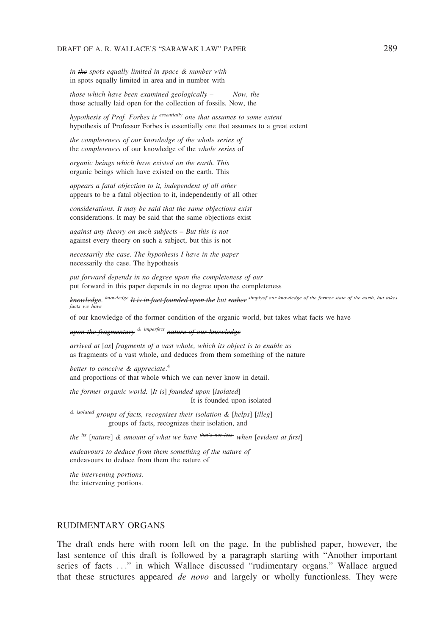in the spots equally limited in space & number with in spots equally limited in area and in number with

those which have been examined geologically – Now, the those actually laid open for the collection of fossils. Now, the

hypothesis of Prof. Forbes is essentially one that assumes to some extent hypothesis of Professor Forbes is essentially one that assumes to a great extent

the completeness of our knowledge of the whole series of the completeness of our knowledge of the whole series of

organic beings which have existed on the earth. This organic beings which have existed on the earth. This

appears a fatal objection to it, independent of all other appears to be a fatal objection to it, independently of all other

considerations. It may be said that the same objections exist considerations. It may be said that the same objections exist

against any theory on such subjects – But this is not against every theory on such a subject, but this is not

necessarily the case. The hypothesis I have in the paper necessarily the case. The hypothesis

put forward depends in no degree upon the completeness of our put forward in this paper depends in no degree upon the completeness

knowledge. <sup>knowledge</sup> It is in fact founded upon the but <del>rather</del> simplyof our knowledge of the former state of the earth, but takes facts we have

of our knowledge of the former condition of the organic world, but takes what facts we have

upon the fragmentary  $\alpha$  imperfect nature of our knowledge

arrived at [as] fragments of a vast whole, which its object is to enable us as fragments of a vast whole, and deduces from them something of the nature

better to conceive & appreciate.<sup>4</sup> and proportions of that whole which we can never know in detail.

the former organic world. [It is] founded upon [isolated] It is founded upon isolated

 $\&$  isolated groups of facts, recognises their isolation  $\&$  [helps] [illeg] groups of facts, recognizes their isolation, and

the  $^{its}$  [nature]  $\&$  amount of what we have  $^{that's}$  not less-when [evident at first]

endeavours to deduce from them something of the nature of endeavours to deduce from them the nature of

the intervening portions. the intervening portions.

# RUDIMENTARY ORGANS

The draft ends here with room left on the page. In the published paper, however, the last sentence of this draft is followed by a paragraph starting with "Another important series of facts ..." in which Wallace discussed "rudimentary organs." Wallace argued that these structures appeared *de novo* and largely or wholly functionless. They were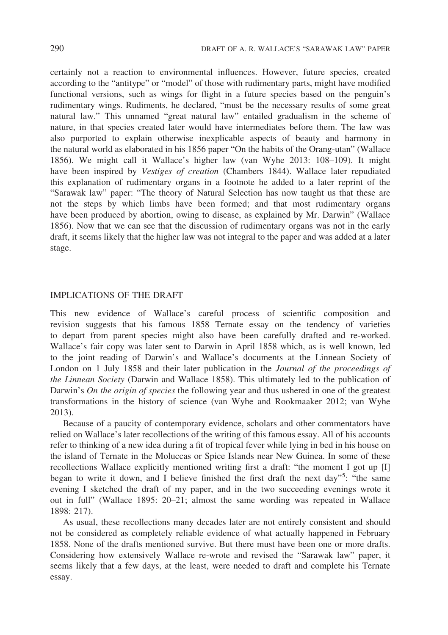certainly not a reaction to environmental influences. However, future species, created according to the "antitype" or "model" of those with rudimentary parts, might have modified functional versions, such as wings for flight in a future species based on the penguin's rudimentary wings. Rudiments, he declared, "must be the necessary results of some great natural law." This unnamed "great natural law" entailed gradualism in the scheme of nature, in that species created later would have intermediates before them. The law was also purported to explain otherwise inexplicable aspects of beauty and harmony in the natural world as elaborated in his 1856 paper "On the habits of the Orang-utan" (Wallace 1856). We might call it Wallace's higher law (van Wyhe 2013: 108–109). It might have been inspired by Vestiges of creation (Chambers 1844). Wallace later repudiated this explanation of rudimentary organs in a footnote he added to a later reprint of the "Sarawak law" paper: "The theory of Natural Selection has now taught us that these are not the steps by which limbs have been formed; and that most rudimentary organs have been produced by abortion, owing to disease, as explained by Mr. Darwin" (Wallace 1856). Now that we can see that the discussion of rudimentary organs was not in the early draft, it seems likely that the higher law was not integral to the paper and was added at a later stage.

# IMPLICATIONS OF THE DRAFT

This new evidence of Wallace's careful process of scientific composition and revision suggests that his famous 1858 Ternate essay on the tendency of varieties to depart from parent species might also have been carefully drafted and re-worked. Wallace's fair copy was later sent to Darwin in April 1858 which, as is well known, led to the joint reading of Darwin's and Wallace's documents at the Linnean Society of London on 1 July 1858 and their later publication in the *Journal of the proceedings of* the Linnean Society (Darwin and Wallace 1858). This ultimately led to the publication of Darwin's *On the origin of species* the following year and thus ushered in one of the greatest transformations in the history of science (van Wyhe and Rookmaaker 2012; van Wyhe 2013).

Because of a paucity of contemporary evidence, scholars and other commentators have relied on Wallace's later recollections of the writing of this famous essay. All of his accounts refer to thinking of a new idea during a fit of tropical fever while lying in bed in his house on the island of Ternate in the Moluccas or Spice Islands near New Guinea. In some of these recollections Wallace explicitly mentioned writing first a draft: "the moment I got up [I] began to write it down, and I believe finished the first draft the next day"<sup>5</sup>: "the same evening I sketched the draft of my paper, and in the two succeeding evenings wrote it out in full" (Wallace 1895: 20–21; almost the same wording was repeated in Wallace 1898: 217).

As usual, these recollections many decades later are not entirely consistent and should not be considered as completely reliable evidence of what actually happened in February 1858. None of the drafts mentioned survive. But there must have been one or more drafts. Considering how extensively Wallace re-wrote and revised the "Sarawak law" paper, it seems likely that a few days, at the least, were needed to draft and complete his Ternate essay.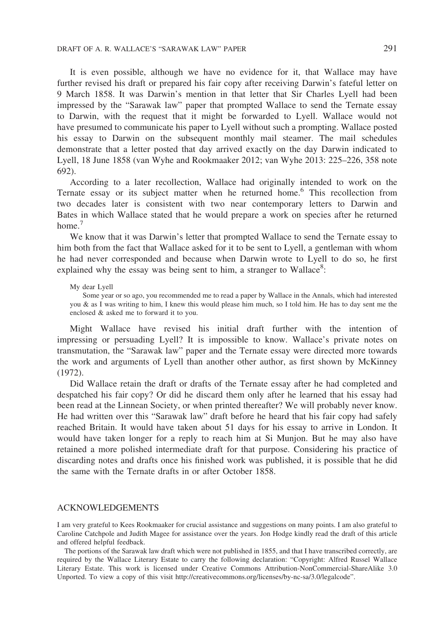It is even possible, although we have no evidence for it, that Wallace may have further revised his draft or prepared his fair copy after receiving Darwin's fateful letter on 9 March 1858. It was Darwin's mention in that letter that Sir Charles Lyell had been impressed by the "Sarawak law" paper that prompted Wallace to send the Ternate essay to Darwin, with the request that it might be forwarded to Lyell. Wallace would not have presumed to communicate his paper to Lyell without such a prompting. Wallace posted his essay to Darwin on the subsequent monthly mail steamer. The mail schedules demonstrate that a letter posted that day arrived exactly on the day Darwin indicated to Lyell, 18 June 1858 (van Wyhe and Rookmaaker 2012; van Wyhe 2013: 225–226, 358 note 692).

According to a later recollection, Wallace had originally intended to work on the Ternate essay or its subject matter when he returned home.6 This recollection from two decades later is consistent with two near contemporary letters to Darwin and Bates in which Wallace stated that he would prepare a work on species after he returned home.<sup>7</sup>

We know that it was Darwin's letter that prompted Wallace to send the Ternate essay to him both from the fact that Wallace asked for it to be sent to Lyell, a gentleman with whom he had never corresponded and because when Darwin wrote to Lyell to do so, he first explained why the essay was being sent to him, a stranger to Wallace<sup>8</sup>:

#### My dear Lyell

Some year or so ago, you recommended me to read a paper by Wallace in the Annals, which had interested you & as I was writing to him, I knew this would please him much, so I told him. He has to day sent me the enclosed & asked me to forward it to you.

Might Wallace have revised his initial draft further with the intention of impressing or persuading Lyell? It is impossible to know. Wallace's private notes on transmutation, the "Sarawak law" paper and the Ternate essay were directed more towards the work and arguments of Lyell than another other author, as first shown by McKinney (1972).

Did Wallace retain the draft or drafts of the Ternate essay after he had completed and despatched his fair copy? Or did he discard them only after he learned that his essay had been read at the Linnean Society, or when printed thereafter? We will probably never know. He had written over this "Sarawak law" draft before he heard that his fair copy had safely reached Britain. It would have taken about 51 days for his essay to arrive in London. It would have taken longer for a reply to reach him at Si Munjon. But he may also have retained a more polished intermediate draft for that purpose. Considering his practice of discarding notes and drafts once his finished work was published, it is possible that he did the same with the Ternate drafts in or after October 1858.

### ACKNOWLEDGEMENTS

I am very grateful to Kees Rookmaaker for crucial assistance and suggestions on many points. I am also grateful to Caroline Catchpole and Judith Magee for assistance over the years. Jon Hodge kindly read the draft of this article and offered helpful feedback.

The portions of the Sarawak law draft which were not published in 1855, and that I have transcribed correctly, are required by the Wallace Literary Estate to carry the following declaration: "Copyright: Alfred Russel Wallace Literary Estate. This work is licensed under Creative Commons Attribution-NonCommercial-ShareAlike 3.0 Unported. To view a copy of this visit http://creativecommons.org/licenses/by-nc-sa/3.0/legalcode".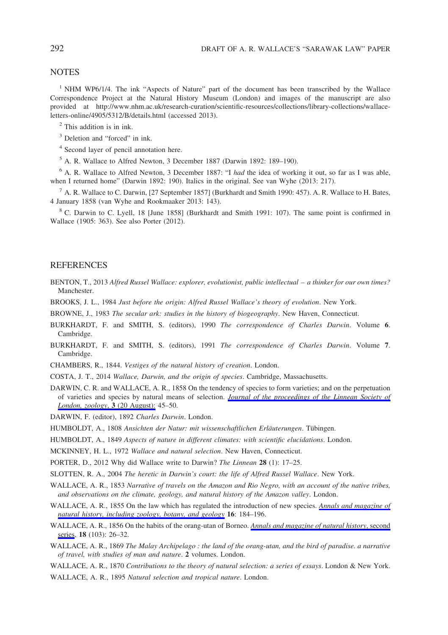## **NOTES**

<sup>1</sup> NHM WP6/1/4. The ink "Aspects of Nature" part of the document has been transcribed by the Wallace Correspondence Project at the Natural History Museum (London) and images of the manuscript are also provided at http://www.nhm.ac.uk/research-curation/scientific-resources/collections/library-collections/wallaceletters-online/4905/5312/B/details.html (accessed 2013).

<sup>2</sup> This addition is in ink.

<sup>3</sup> Deletion and "forced" in ink.

<sup>4</sup> Second layer of pencil annotation here.

<sup>5</sup> A. R. Wallace to Alfred Newton, 3 December 1887 (Darwin 1892: 189–190).

<sup>6</sup> A. R. Wallace to Alfred Newton, 3 December 1887: "I had the idea of working it out, so far as I was able, when I returned home" (Darwin 1892: 190). Italics in the original. See van Wyhe (2013: 217).

<sup>7</sup> A. R. Wallace to C. Darwin, [27 September 1857] (Burkhardt and Smith 1990: 457). A. R. Wallace to H. Bates, 4 January 1858 (van Wyhe and Rookmaaker 2013: 143).

<sup>8</sup> C. Darwin to C. Lyell, 18 [June 1858] (Burkhardt and Smith 1991: 107). The same point is confirmed in Wallace (1905: 363). See also Porter (2012).

## **REFERENCES**

- BENTON, T., 2013 Alfred Russel Wallace: explorer, evolutionist, public intellectual a thinker for our own times? **Manchester**
- BROOKS, J. L., 1984 Just before the origin: Alfred Russel Wallace's theory of evolution. New York.
- BROWNE, J., 1983 The secular ark: studies in the history of biogeography. New Haven, Connecticut.
- BURKHARDT, F. and SMITH, S. (editors), 1990 The correspondence of Charles Darwin. Volume 6. Cambridge.
- BURKHARDT, F. and SMITH, S. (editors), 1991 The correspondence of Charles Darwin. Volume 7. Cambridge.
- CHAMBERS, R., 1844. Vestiges of the natural history of creation. London.
- COSTA, J. T., 2014 Wallace, Darwin, and the origin of species. Cambridge, Massachusetts.
- DARWIN, C. R. and WALLACE, A. R., 1858 On the tendency of species to form varieties; and on the perpetuation of varieties and species by natural means of selection. [Journal of the proceedings of the Linnean Society of](http://www.euppublishing.com/action/showLinks?crossref=10.1111%2Fj.1096-3642.1858.tb02500.x) [London, zoology](http://www.euppublishing.com/action/showLinks?crossref=10.1111%2Fj.1096-3642.1858.tb02500.x), 3 (20 August): 45–50.

DARWIN, F. (editor), 1892 Charles Darwin. London.

HUMBOLDT, A., 1808 Ansichten der Natur: mit wissenschaftlichen Erläuterungen. Tübingen.

HUMBOLDT, A., 1849 Aspects of nature in different climates: with scientific elucidations. London.

MCKINNEY, H. L., 1972 Wallace and natural selection. New Haven, Connecticut.

PORTER, D., 2012 Why did Wallace write to Darwin? The Linnean 28 (1): 17–25.

SLOTTEN, R. A., 2004 The heretic in Darwin's court: the life of Alfred Russel Wallace. New York.

- WALLACE, A. R., 1853 Narrative of travels on the Amazon and Rio Negro, with an account of the native tribes, and observations on the climate, geology, and natural history of the Amazon valley. London.
- WALLACE, A. R., 1855 On the law which has regulated the introduction of new species. [Annals and magazine of](http://www.euppublishing.com/action/showLinks?crossref=10.1080%2F037454809495509) [natural history, including zoology, botany, and geology](http://www.euppublishing.com/action/showLinks?crossref=10.1080%2F037454809495509) 16: 184–196.
- WALLACE, A. R., 1856 On the habits of the orang-utan of Borneo. [Annals and magazine of natural history](http://www.euppublishing.com/action/showLinks?crossref=10.1080%2F00222935608697572), second [series](http://www.euppublishing.com/action/showLinks?crossref=10.1080%2F00222935608697572), 18 (103): 26-32.
- WALLACE, A. R., 1869 The Malay Archipelago : the land of the orang-utan, and the bird of paradise. a narrative of travel, with studies of man and nature. 2 volumes. London.

WALLACE, A. R., 1870 Contributions to the theory of natural selection: a series of essays. London & New York.

WALLACE, A. R., 1895 Natural selection and tropical nature. London.